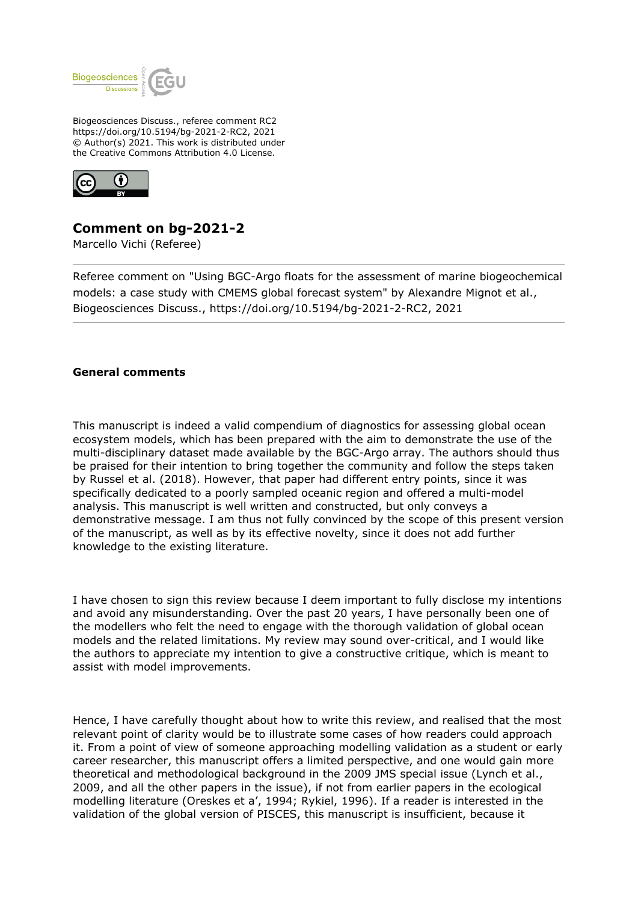

Biogeosciences Discuss., referee comment RC2 https://doi.org/10.5194/bg-2021-2-RC2, 2021 © Author(s) 2021. This work is distributed under the Creative Commons Attribution 4.0 License.



## **Comment on bg-2021-2**

Marcello Vichi (Referee)

Referee comment on "Using BGC-Argo floats for the assessment of marine biogeochemical models: a case study with CMEMS global forecast system" by Alexandre Mignot et al., Biogeosciences Discuss., https://doi.org/10.5194/bg-2021-2-RC2, 2021

## **General comments**

This manuscript is indeed a valid compendium of diagnostics for assessing global ocean ecosystem models, which has been prepared with the aim to demonstrate the use of the multi-disciplinary dataset made available by the BGC-Argo array. The authors should thus be praised for their intention to bring together the community and follow the steps taken by Russel et al. (2018). However, that paper had different entry points, since it was specifically dedicated to a poorly sampled oceanic region and offered a multi-model analysis. This manuscript is well written and constructed, but only conveys a demonstrative message. I am thus not fully convinced by the scope of this present version of the manuscript, as well as by its effective novelty, since it does not add further knowledge to the existing literature.

I have chosen to sign this review because I deem important to fully disclose my intentions and avoid any misunderstanding. Over the past 20 years, I have personally been one of the modellers who felt the need to engage with the thorough validation of global ocean models and the related limitations. My review may sound over-critical, and I would like the authors to appreciate my intention to give a constructive critique, which is meant to assist with model improvements.

Hence, I have carefully thought about how to write this review, and realised that the most relevant point of clarity would be to illustrate some cases of how readers could approach it. From a point of view of someone approaching modelling validation as a student or early career researcher, this manuscript offers a limited perspective, and one would gain more theoretical and methodological background in the 2009 JMS special issue (Lynch et al., 2009, and all the other papers in the issue), if not from earlier papers in the ecological modelling literature (Oreskes et a', 1994; Rykiel, 1996). If a reader is interested in the validation of the global version of PISCES, this manuscript is insufficient, because it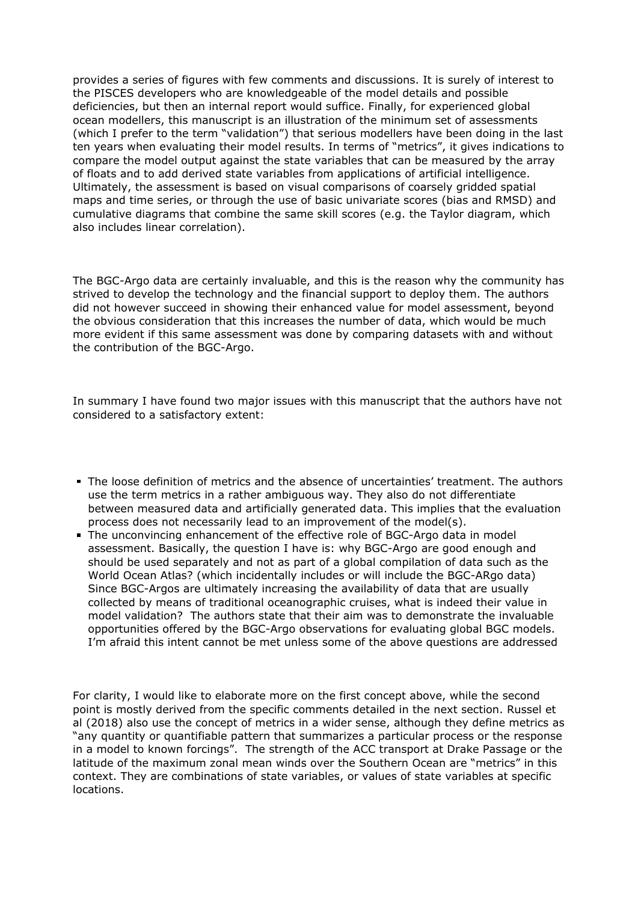provides a series of figures with few comments and discussions. It is surely of interest to the PISCES developers who are knowledgeable of the model details and possible deficiencies, but then an internal report would suffice. Finally, for experienced global ocean modellers, this manuscript is an illustration of the minimum set of assessments (which I prefer to the term "validation") that serious modellers have been doing in the last ten years when evaluating their model results. In terms of "metrics", it gives indications to compare the model output against the state variables that can be measured by the array of floats and to add derived state variables from applications of artificial intelligence. Ultimately, the assessment is based on visual comparisons of coarsely gridded spatial maps and time series, or through the use of basic univariate scores (bias and RMSD) and cumulative diagrams that combine the same skill scores (e.g. the Taylor diagram, which also includes linear correlation).

The BGC-Argo data are certainly invaluable, and this is the reason why the community has strived to develop the technology and the financial support to deploy them. The authors did not however succeed in showing their enhanced value for model assessment, beyond the obvious consideration that this increases the number of data, which would be much more evident if this same assessment was done by comparing datasets with and without the contribution of the BGC-Argo.

In summary I have found two major issues with this manuscript that the authors have not considered to a satisfactory extent:

- The loose definition of metrics and the absence of uncertainties' treatment. The authors use the term metrics in a rather ambiguous way. They also do not differentiate between measured data and artificially generated data. This implies that the evaluation process does not necessarily lead to an improvement of the model(s).
- The unconvincing enhancement of the effective role of BGC-Argo data in model assessment. Basically, the question I have is: why BGC-Argo are good enough and should be used separately and not as part of a global compilation of data such as the World Ocean Atlas? (which incidentally includes or will include the BGC-ARgo data) Since BGC-Argos are ultimately increasing the availability of data that are usually collected by means of traditional oceanographic cruises, what is indeed their value in model validation? The authors state that their aim was to demonstrate the invaluable opportunities offered by the BGC-Argo observations for evaluating global BGC models. I'm afraid this intent cannot be met unless some of the above questions are addressed

For clarity, I would like to elaborate more on the first concept above, while the second point is mostly derived from the specific comments detailed in the next section. Russel et al (2018) also use the concept of metrics in a wider sense, although they define metrics as "any quantity or quantifiable pattern that summarizes a particular process or the response in a model to known forcings". The strength of the ACC transport at Drake Passage or the latitude of the maximum zonal mean winds over the Southern Ocean are "metrics" in this context. They are combinations of state variables, or values of state variables at specific locations.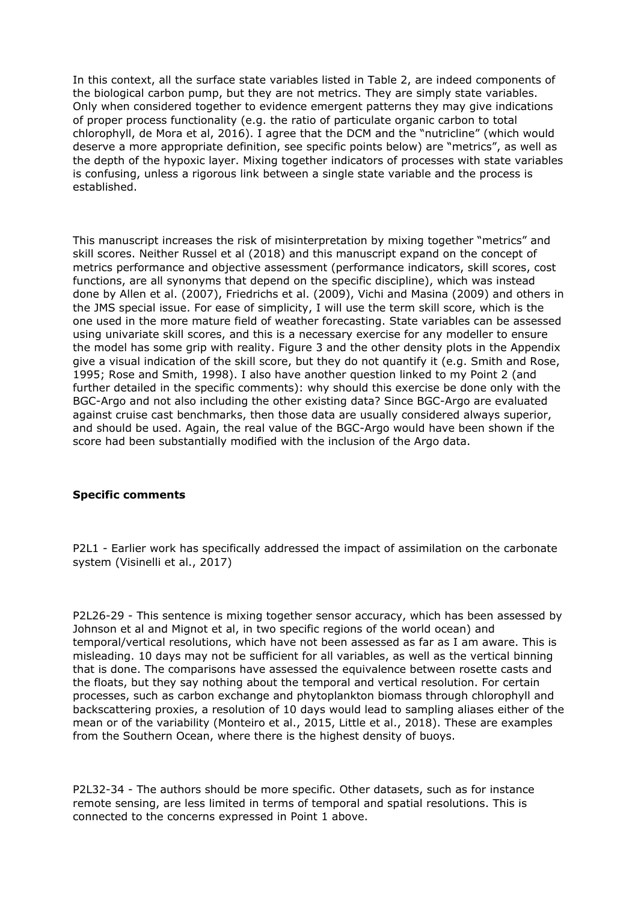In this context, all the surface state variables listed in Table 2, are indeed components of the biological carbon pump, but they are not metrics. They are simply state variables. Only when considered together to evidence emergent patterns they may give indications of proper process functionality (e.g. the ratio of particulate organic carbon to total chlorophyll, de Mora et al, 2016). I agree that the DCM and the "nutricline" (which would deserve a more appropriate definition, see specific points below) are "metrics", as well as the depth of the hypoxic layer. Mixing together indicators of processes with state variables is confusing, unless a rigorous link between a single state variable and the process is established.

This manuscript increases the risk of misinterpretation by mixing together "metrics" and skill scores. Neither Russel et al (2018) and this manuscript expand on the concept of metrics performance and objective assessment (performance indicators, skill scores, cost functions, are all synonyms that depend on the specific discipline), which was instead done by Allen et al. (2007), Friedrichs et al. (2009), Vichi and Masina (2009) and others in the JMS special issue. For ease of simplicity, I will use the term skill score, which is the one used in the more mature field of weather forecasting. State variables can be assessed using univariate skill scores, and this is a necessary exercise for any modeller to ensure the model has some grip with reality. Figure 3 and the other density plots in the Appendix give a visual indication of the skill score, but they do not quantify it (e.g. Smith and Rose, 1995; Rose and Smith, 1998). I also have another question linked to my Point 2 (and further detailed in the specific comments): why should this exercise be done only with the BGC-Argo and not also including the other existing data? Since BGC-Argo are evaluated against cruise cast benchmarks, then those data are usually considered always superior, and should be used. Again, the real value of the BGC-Argo would have been shown if the score had been substantially modified with the inclusion of the Argo data.

## **Specific comments**

P2L1 - Earlier work has specifically addressed the impact of assimilation on the carbonate system (Visinelli et al., 2017)

P2L26-29 - This sentence is mixing together sensor accuracy, which has been assessed by Johnson et al and Mignot et al, in two specific regions of the world ocean) and temporal/vertical resolutions, which have not been assessed as far as I am aware. This is misleading. 10 days may not be sufficient for all variables, as well as the vertical binning that is done. The comparisons have assessed the equivalence between rosette casts and the floats, but they say nothing about the temporal and vertical resolution. For certain processes, such as carbon exchange and phytoplankton biomass through chlorophyll and backscattering proxies, a resolution of 10 days would lead to sampling aliases either of the mean or of the variability (Monteiro et al., 2015, Little et al., 2018). These are examples from the Southern Ocean, where there is the highest density of buoys.

P2L32-34 - The authors should be more specific. Other datasets, such as for instance remote sensing, are less limited in terms of temporal and spatial resolutions. This is connected to the concerns expressed in Point 1 above.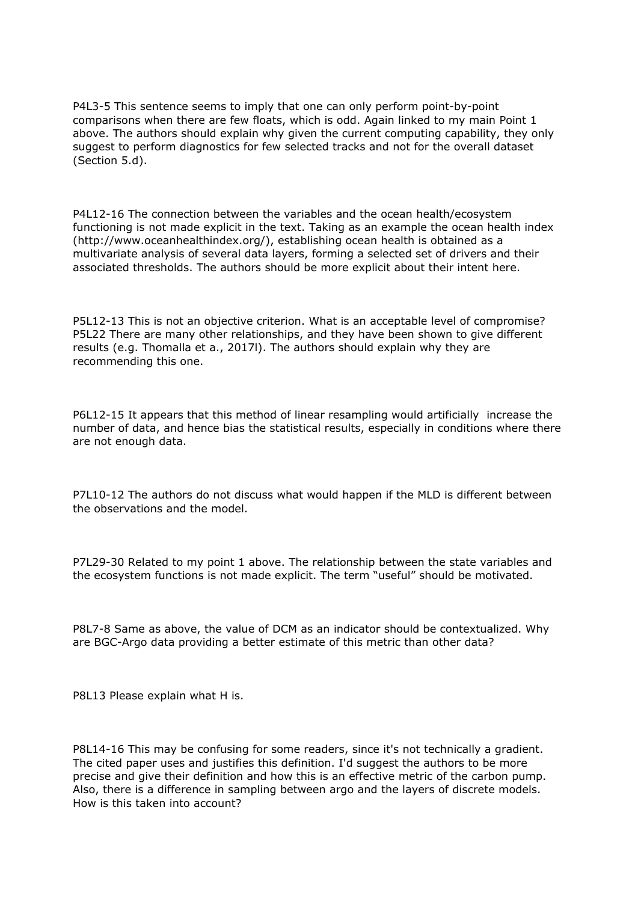P4L3-5 This sentence seems to imply that one can only perform point-by-point comparisons when there are few floats, which is odd. Again linked to my main Point 1 above. The authors should explain why given the current computing capability, they only suggest to perform diagnostics for few selected tracks and not for the overall dataset (Section 5.d).

P4L12-16 The connection between the variables and the ocean health/ecosystem functioning is not made explicit in the text. Taking as an example the ocean health index (http://www.oceanhealthindex.org/), establishing ocean health is obtained as a multivariate analysis of several data layers, forming a selected set of drivers and their associated thresholds. The authors should be more explicit about their intent here.

P5L12-13 This is not an objective criterion. What is an acceptable level of compromise? P5L22 There are many other relationships, and they have been shown to give different results (e.g. Thomalla et a., 2017l). The authors should explain why they are recommending this one.

P6L12-15 It appears that this method of linear resampling would artificially increase the number of data, and hence bias the statistical results, especially in conditions where there are not enough data.

P7L10-12 The authors do not discuss what would happen if the MLD is different between the observations and the model.

P7L29-30 Related to my point 1 above. The relationship between the state variables and the ecosystem functions is not made explicit. The term "useful" should be motivated.

P8L7-8 Same as above, the value of DCM as an indicator should be contextualized. Why are BGC-Argo data providing a better estimate of this metric than other data?

P8L13 Please explain what H is.

P8L14-16 This may be confusing for some readers, since it's not technically a gradient. The cited paper uses and justifies this definition. I'd suggest the authors to be more precise and give their definition and how this is an effective metric of the carbon pump. Also, there is a difference in sampling between argo and the layers of discrete models. How is this taken into account?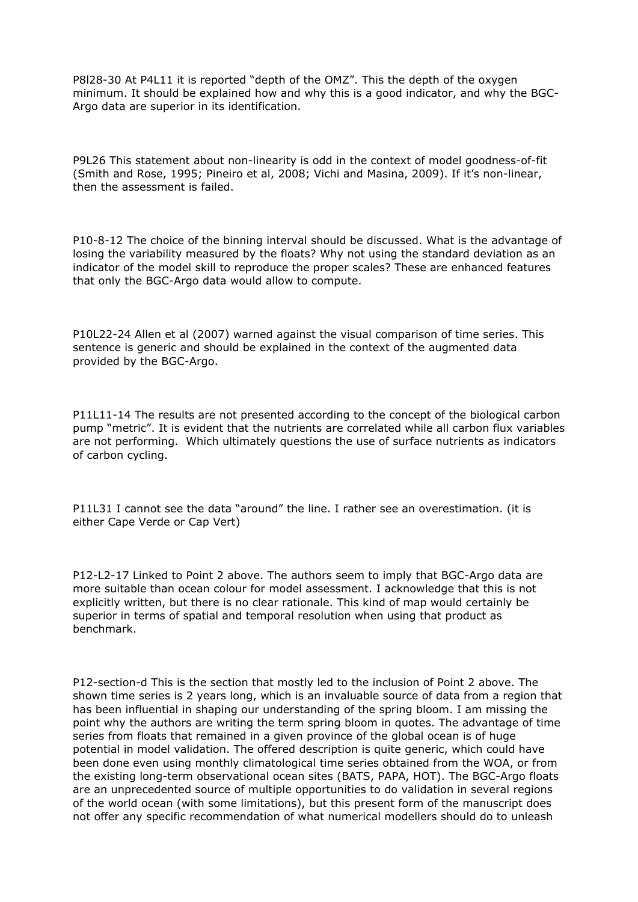P8l28-30 At P4L11 it is reported "depth of the OMZ". This the depth of the oxygen minimum. It should be explained how and why this is a good indicator, and why the BGC-Argo data are superior in its identification.

P9L26 This statement about non-linearity is odd in the context of model goodness-of-fit (Smith and Rose, 1995; Pineiro et al, 2008; Vichi and Masina, 2009). If it's non-linear, then the assessment is failed.

P10-8-12 The choice of the binning interval should be discussed. What is the advantage of losing the variability measured by the floats? Why not using the standard deviation as an indicator of the model skill to reproduce the proper scales? These are enhanced features that only the BGC-Argo data would allow to compute.

P10L22-24 Allen et al (2007) warned against the visual comparison of time series. This sentence is generic and should be explained in the context of the augmented data provided by the BGC-Argo.

P11L11-14 The results are not presented according to the concept of the biological carbon pump "metric". It is evident that the nutrients are correlated while all carbon flux variables are not performing. Which ultimately questions the use of surface nutrients as indicators of carbon cycling.

P11L31 I cannot see the data "around" the line. I rather see an overestimation. (it is either Cape Verde or Cap Vert)

P12-L2-17 Linked to Point 2 above. The authors seem to imply that BGC-Argo data are more suitable than ocean colour for model assessment. I acknowledge that this is not explicitly written, but there is no clear rationale. This kind of map would certainly be superior in terms of spatial and temporal resolution when using that product as benchmark.

P12-section-d This is the section that mostly led to the inclusion of Point 2 above. The shown time series is 2 years long, which is an invaluable source of data from a region that has been influential in shaping our understanding of the spring bloom. I am missing the point why the authors are writing the term spring bloom in quotes. The advantage of time series from floats that remained in a given province of the global ocean is of huge potential in model validation. The offered description is quite generic, which could have been done even using monthly climatological time series obtained from the WOA, or from the existing long-term observational ocean sites (BATS, PAPA, HOT). The BGC-Argo floats are an unprecedented source of multiple opportunities to do validation in several regions of the world ocean (with some limitations), but this present form of the manuscript does not offer any specific recommendation of what numerical modellers should do to unleash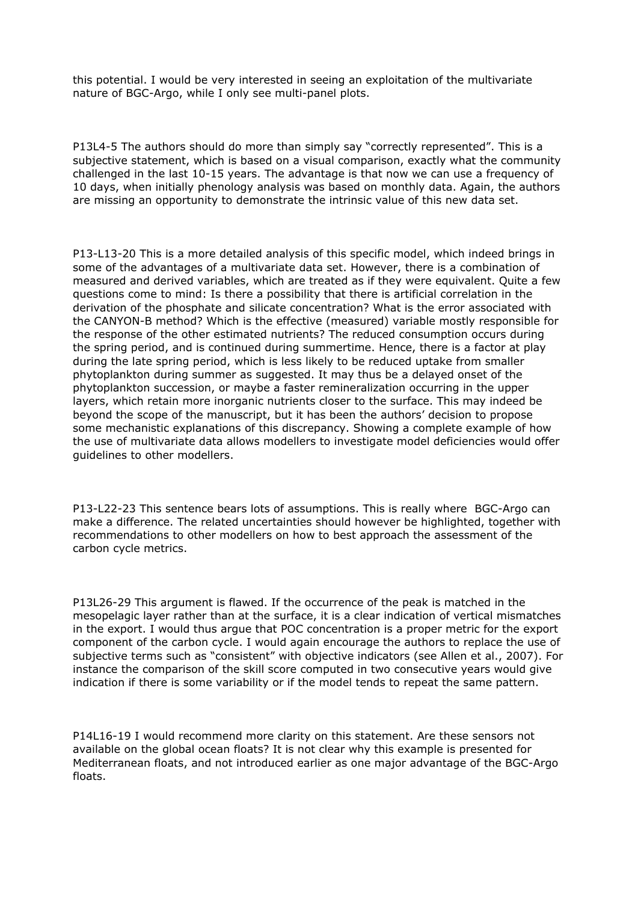this potential. I would be very interested in seeing an exploitation of the multivariate nature of BGC-Argo, while I only see multi-panel plots.

P13L4-5 The authors should do more than simply say "correctly represented". This is a subjective statement, which is based on a visual comparison, exactly what the community challenged in the last 10-15 years. The advantage is that now we can use a frequency of 10 days, when initially phenology analysis was based on monthly data. Again, the authors are missing an opportunity to demonstrate the intrinsic value of this new data set.

P13-L13-20 This is a more detailed analysis of this specific model, which indeed brings in some of the advantages of a multivariate data set. However, there is a combination of measured and derived variables, which are treated as if they were equivalent. Quite a few questions come to mind: Is there a possibility that there is artificial correlation in the derivation of the phosphate and silicate concentration? What is the error associated with the CANYON-B method? Which is the effective (measured) variable mostly responsible for the response of the other estimated nutrients? The reduced consumption occurs during the spring period, and is continued during summertime. Hence, there is a factor at play during the late spring period, which is less likely to be reduced uptake from smaller phytoplankton during summer as suggested. It may thus be a delayed onset of the phytoplankton succession, or maybe a faster remineralization occurring in the upper layers, which retain more inorganic nutrients closer to the surface. This may indeed be beyond the scope of the manuscript, but it has been the authors' decision to propose some mechanistic explanations of this discrepancy. Showing a complete example of how the use of multivariate data allows modellers to investigate model deficiencies would offer guidelines to other modellers.

P13-L22-23 This sentence bears lots of assumptions. This is really where BGC-Argo can make a difference. The related uncertainties should however be highlighted, together with recommendations to other modellers on how to best approach the assessment of the carbon cycle metrics.

P13L26-29 This argument is flawed. If the occurrence of the peak is matched in the mesopelagic layer rather than at the surface, it is a clear indication of vertical mismatches in the export. I would thus argue that POC concentration is a proper metric for the export component of the carbon cycle. I would again encourage the authors to replace the use of subjective terms such as "consistent" with objective indicators (see Allen et al., 2007). For instance the comparison of the skill score computed in two consecutive years would give indication if there is some variability or if the model tends to repeat the same pattern.

P14L16-19 I would recommend more clarity on this statement. Are these sensors not available on the global ocean floats? It is not clear why this example is presented for Mediterranean floats, and not introduced earlier as one major advantage of the BGC-Argo floats.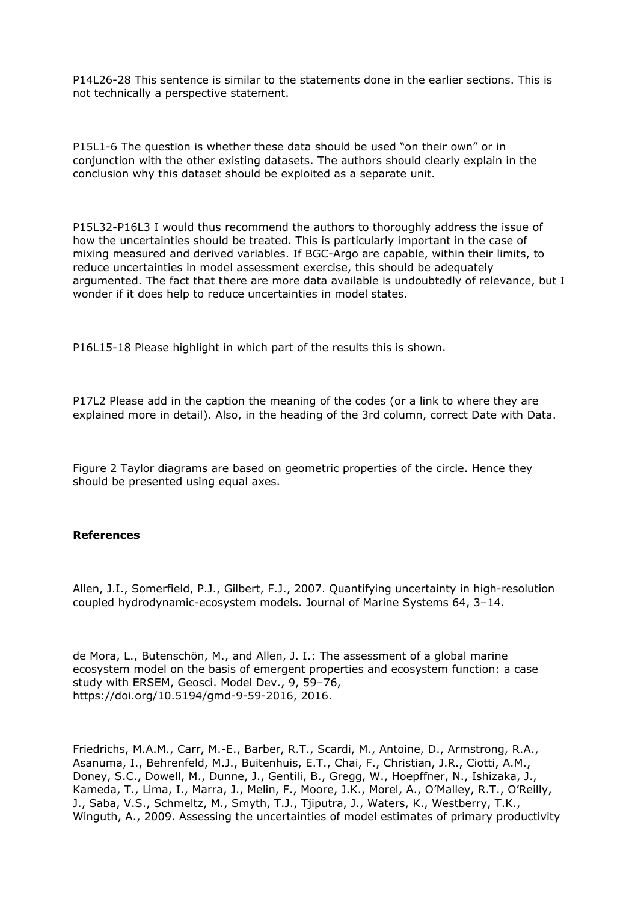P14L26-28 This sentence is similar to the statements done in the earlier sections. This is not technically a perspective statement.

P15L1-6 The question is whether these data should be used "on their own" or in conjunction with the other existing datasets. The authors should clearly explain in the conclusion why this dataset should be exploited as a separate unit.

P15L32-P16L3 I would thus recommend the authors to thoroughly address the issue of how the uncertainties should be treated. This is particularly important in the case of mixing measured and derived variables. If BGC-Argo are capable, within their limits, to reduce uncertainties in model assessment exercise, this should be adequately argumented. The fact that there are more data available is undoubtedly of relevance, but I wonder if it does help to reduce uncertainties in model states.

P16L15-18 Please highlight in which part of the results this is shown.

P17L2 Please add in the caption the meaning of the codes (or a link to where they are explained more in detail). Also, in the heading of the 3rd column, correct Date with Data.

Figure 2 Taylor diagrams are based on geometric properties of the circle. Hence they should be presented using equal axes.

## **References**

Allen, J.I., Somerfield, P.J., Gilbert, F.J., 2007. Quantifying uncertainty in high-resolution coupled hydrodynamic-ecosystem models. Journal of Marine Systems 64, 3–14.

de Mora, L., Butenschön, M., and Allen, J. I.: The assessment of a global marine ecosystem model on the basis of emergent properties and ecosystem function: a case study with ERSEM, Geosci. Model Dev., 9, 59–76, https://doi.org/10.5194/gmd-9-59-2016, 2016.

Friedrichs, M.A.M., Carr, M.-E., Barber, R.T., Scardi, M., Antoine, D., Armstrong, R.A., Asanuma, I., Behrenfeld, M.J., Buitenhuis, E.T., Chai, F., Christian, J.R., Ciotti, A.M., Doney, S.C., Dowell, M., Dunne, J., Gentili, B., Gregg, W., Hoepffner, N., Ishizaka, J., Kameda, T., Lima, I., Marra, J., Melin, F., Moore, J.K., Morel, A., O'Malley, R.T., O'Reilly, J., Saba, V.S., Schmeltz, M., Smyth, T.J., Tjiputra, J., Waters, K., Westberry, T.K., Winguth, A., 2009. Assessing the uncertainties of model estimates of primary productivity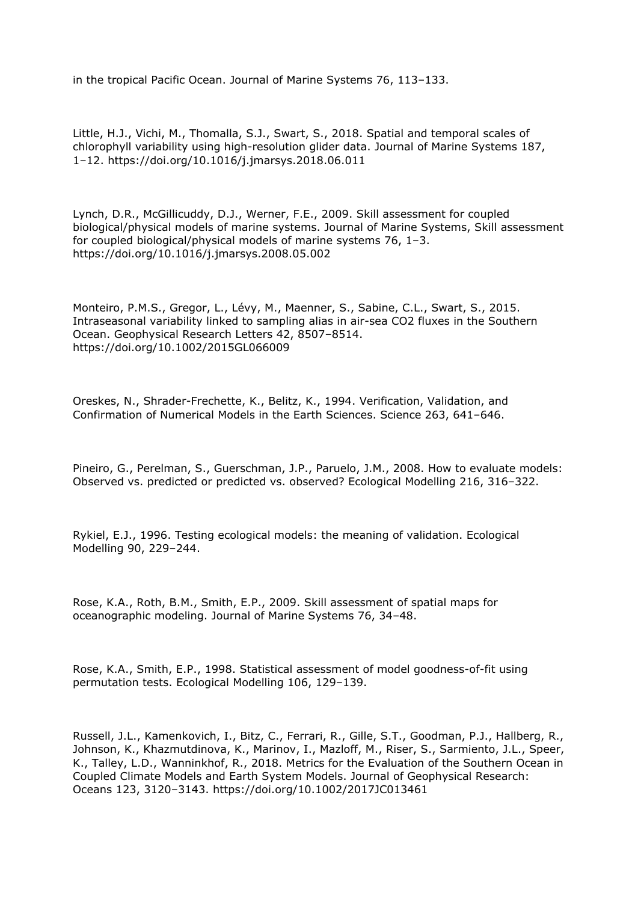in the tropical Pacific Ocean. Journal of Marine Systems 76, 113–133.

Little, H.J., Vichi, M., Thomalla, S.J., Swart, S., 2018. Spatial and temporal scales of chlorophyll variability using high-resolution glider data. Journal of Marine Systems 187, 1–12. https://doi.org/10.1016/j.jmarsys.2018.06.011

Lynch, D.R., McGillicuddy, D.J., Werner, F.E., 2009. Skill assessment for coupled biological/physical models of marine systems. Journal of Marine Systems, Skill assessment for coupled biological/physical models of marine systems 76, 1–3. https://doi.org/10.1016/j.jmarsys.2008.05.002

Monteiro, P.M.S., Gregor, L., Lévy, M., Maenner, S., Sabine, C.L., Swart, S., 2015. Intraseasonal variability linked to sampling alias in air-sea CO2 fluxes in the Southern Ocean. Geophysical Research Letters 42, 8507–8514. https://doi.org/10.1002/2015GL066009

Oreskes, N., Shrader-Frechette, K., Belitz, K., 1994. Verification, Validation, and Confirmation of Numerical Models in the Earth Sciences. Science 263, 641–646.

Pineiro, G., Perelman, S., Guerschman, J.P., Paruelo, J.M., 2008. How to evaluate models: Observed vs. predicted or predicted vs. observed? Ecological Modelling 216, 316–322.

Rykiel, E.J., 1996. Testing ecological models: the meaning of validation. Ecological Modelling 90, 229–244.

Rose, K.A., Roth, B.M., Smith, E.P., 2009. Skill assessment of spatial maps for oceanographic modeling. Journal of Marine Systems 76, 34–48.

Rose, K.A., Smith, E.P., 1998. Statistical assessment of model goodness-of-fit using permutation tests. Ecological Modelling 106, 129–139.

Russell, J.L., Kamenkovich, I., Bitz, C., Ferrari, R., Gille, S.T., Goodman, P.J., Hallberg, R., Johnson, K., Khazmutdinova, K., Marinov, I., Mazloff, M., Riser, S., Sarmiento, J.L., Speer, K., Talley, L.D., Wanninkhof, R., 2018. Metrics for the Evaluation of the Southern Ocean in Coupled Climate Models and Earth System Models. Journal of Geophysical Research: Oceans 123, 3120–3143. https://doi.org/10.1002/2017JC013461